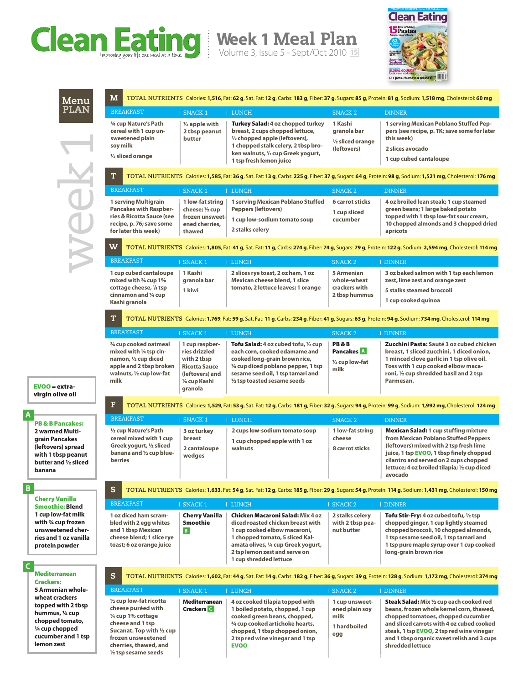

**Week 1** Meal Plan

Volume 3, Issue 5 - Sept/Oct 2010 **15**



**cilantro and served on 2 cups chopped lettuce; 4 oz broiled tilapia; ½ cup diced** 

**avocado**

week PLAN

**Menu**

| M<br>TOTAL NUTRIENTS Calories: 1,516, Fat: 62 g, Sat. Fat: 12 g, Carbs: 183 g, Fiber: 37 g, Sugars: 85 g, Protein: 81 g, Sodium: 1,518 mg, Cholesterol: 60 mg  |                                                                                                                       |                                                                                                                                                                                                                    |                                                                           |                                                                                                                                                                                                                                 |
|----------------------------------------------------------------------------------------------------------------------------------------------------------------|-----------------------------------------------------------------------------------------------------------------------|--------------------------------------------------------------------------------------------------------------------------------------------------------------------------------------------------------------------|---------------------------------------------------------------------------|---------------------------------------------------------------------------------------------------------------------------------------------------------------------------------------------------------------------------------|
| <b>BREAKFAST</b>                                                                                                                                               | <b>I SNACK1</b>                                                                                                       | <b>LUNCH</b>                                                                                                                                                                                                       | <b>SNACK 2</b>                                                            | I DINNER                                                                                                                                                                                                                        |
| 3/4 cup Nature's Path<br>cereal with 1 cup un-<br>sweetened plain<br>soy milk<br>1/2 sliced orange                                                             | $\frac{1}{2}$ apple with<br>2 tbsp peanut<br>butter                                                                   | Turkey Salad: 4 oz chopped turkey<br>breast, 2 cups chopped lettuce,<br>1/2 chopped apple (leftovers),<br>1 chopped stalk celery, 2 tbsp bro-<br>ken walnuts, <sup>1</sup> / <sub>3</sub> cup Greek yogurt,        | 1 Kashi<br>granola bar<br>1/2 sliced orange<br>(leftovers)                | 1 serving Mexican Poblano Stuffed Pep-<br>pers (see recipe, p. TK; save some for later<br>this week)<br>2 slices avocado                                                                                                        |
|                                                                                                                                                                |                                                                                                                       | 1 tsp fresh lemon juice                                                                                                                                                                                            |                                                                           | 1 cup cubed cantaloupe                                                                                                                                                                                                          |
| T                                                                                                                                                              |                                                                                                                       |                                                                                                                                                                                                                    |                                                                           | TOTAL NUTRIENTS Calories: 1,585, Fat: 36 g, Sat. Fat: 13 g, Carbs: 225 g, Fiber: 37 g, Sugars: 64 g, Protein: 98 g, Sodium: 1,521 mg, Cholesterol: 176 mg                                                                       |
| <b>BREAKFAST</b>                                                                                                                                               | <b>SNACK1</b>                                                                                                         | <b>LUNCH</b>                                                                                                                                                                                                       | <b>SNACK 2</b>                                                            | <b>I DINNER</b>                                                                                                                                                                                                                 |
| 1 serving Multigrain<br><b>Pancakes with Raspber-</b><br>ries & Ricotta Sauce (see<br>recipe, p. 76; save some<br>for later this week)                         | 1 low-fat string<br>cheese; 1/2 cup<br>frozen unsweet-<br>ened cherries,<br>thawed                                    | 1 serving Mexican Poblano Stuffed<br><b>Peppers (leftovers)</b><br>1 cup low-sodium tomato soup<br>2 stalks celery                                                                                                 | <b>6 carrot sticks</b><br>1 cup sliced<br>cucumber                        | 4 oz broiled lean steak; 1 cup steamed<br>green beans; 1 large baked potato<br>topped with 1 tbsp low-fat sour cream,<br>10 chopped almonds and 3 chopped dried<br>apricots                                                     |
| W                                                                                                                                                              |                                                                                                                       |                                                                                                                                                                                                                    |                                                                           | TOTAL NUTRIENTS Calories: 1,805, Fat: 41 g, Sat. Fat: 11 g, Carbs: 274 g, Fiber: 74 g, Sugars: 79 g, Protein: 122 g, Sodium: 2,594 mg, Cholesterol: 114 mg                                                                      |
| <b>BREAKFAST</b>                                                                                                                                               | <b>I SNACK 1</b>                                                                                                      | <b>LUNCH</b>                                                                                                                                                                                                       | <b>SNACK 2</b>                                                            | <b>I DINNER</b>                                                                                                                                                                                                                 |
| 1 cup cubed cantaloupe<br>mixed with 3/4 cup 1%<br>cottage cheese, 1/8 tsp<br>cinnamon and 1/4 cup<br>Kashi granola                                            | 1 Kashi<br>granola bar<br>1 kiwi                                                                                      | 2 slices rye toast, 2 oz ham, 1 oz<br>Mexican cheese blend, 1 slice<br>tomato, 2 lettuce leaves; 1 orange                                                                                                          | <b>5 Armenian</b><br>whole-wheat<br>crackers with<br>2 tbsp hummus        | 3 oz baked salmon with 1 tsp each lemon<br>zest, lime zest and orange zest<br>5 stalks steamed broccoli<br>1 cup cooked quinoa                                                                                                  |
| T<br>TOTAL NUTRIENTS Calories: 1,769, Fat: 59 g, Sat. Fat: 11 g, Carbs: 234 g, Fiber: 41 g, Sugars: 63 g, Protein: 94 g, Sodium: 734 mg, Cholesterol: 114 mg   |                                                                                                                       |                                                                                                                                                                                                                    |                                                                           |                                                                                                                                                                                                                                 |
| <b>BREAKFAST</b>                                                                                                                                               | <b>I SNACK 1</b>                                                                                                      | <b>LUNCH</b>                                                                                                                                                                                                       | <b>I SNACK 2</b>                                                          | <b>I DINNER</b>                                                                                                                                                                                                                 |
| 3/4 cup cooked oatmeal<br>mixed with 1/4 tsp cin-<br>namon, 1/2 cup diced<br>apple and 2 tbsp broken<br>walnuts, 1/2 cup low-fat<br>milk                       | 1 cup raspber-<br>ries drizzled<br>with 2 tbsp<br><b>Ricotta Sauce</b><br>(leftovers) and<br>1/4 cup Kashi<br>granola | Tofu Salad: 4 oz cubed tofu, 1/2 cup<br>each corn, cooked edamame and<br>cooked long-grain brown rice,<br>1/4 cup diced poblano pepper, 1 tsp<br>sesame seed oil, 1 tsp tamari and<br>1/2 tsp toasted sesame seeds | <b>PB&amp;B</b><br><b>Pancakes</b> A<br>$\frac{1}{2}$ cup low-fat<br>milk | Zucchini Pasta: Sauté 3 oz cubed chicken<br>breast, 1 sliced zucchini, 1 diced onion,<br>1 minced clove garlic in 1 tsp olive oil.<br>Toss with 1 cup cooked elbow maca-<br>roni, 1/2 cup shredded basil and 2 tsp<br>Parmesan. |
| F<br>TOTAL NUTRIENTS Calories: 1,529, Fat: 53 g, Sat. Fat: 12 g, Carbs: 181 g, Fiber: 32 g, Sugars: 94 g, Protein: 99 g, Sodium: 1,992 mg, Cholesterol: 124 mg |                                                                                                                       |                                                                                                                                                                                                                    |                                                                           |                                                                                                                                                                                                                                 |
| <b>BREAKFAST</b>                                                                                                                                               | <b>I SNACK1</b>                                                                                                       | <b>I LUNCH</b>                                                                                                                                                                                                     | <b>I SNACK 2</b>                                                          | <b>I DINNER</b>                                                                                                                                                                                                                 |
| 1/2 cup Nature's Path<br>cereal mixed with 1 cup<br>Greek yogurt, 1/2 sliced<br>banana and 1/2 cup blue-                                                       | 3 oz turkey<br>breast<br>2 cantaloupe<br>wedges                                                                       | 2 cups low-sodium tomato soup<br>1 cup chopped apple with 1 oz<br>walnuts                                                                                                                                          | 1 low-fat string<br>cheese<br>8 carrot sticks                             | <b>Mexican Salad: 1 cup stuffing mixture</b><br>from Mexican Poblano Stuffed Peppers<br>(leftovers) mixed with 2 tsp fresh lime<br>juice, 1 tsp EVOO, 1 tbsp finely chopped                                                     |

EVOO = extravirgin olive oil

**grain Pancakes (leftovers) spread with 1 tbsp peanut butter and ½ sliced banana**

**berries**

Cherry Vanilla

Smoothie: **Blend 1 cup low-fat milk with ¾ cup frozen unsweetened cherries and 1 oz vanilla protein powder**

Mediterranean Crackers: **5 Armenian wholewheat crackers topped with 2 tbsp hummus, ¼ cup chopped tomato, ¼ cup chopped cucumber and 1 tsp lemon zest**

**C**

**B**

**A**

## S **TOTAL NUTRIENTS** Calories: **1,633**, Fat: **54 g**, Sat. Fat: **12 g**, Carbs: **185 g**, Fiber: **29 g**, Sugars: **54 g**, Protein: **114 g**, Sodium: **1,431 mg**, Cholesterol: **150 mg**

| <b>BREAKFAST</b>                                                                                                               | <b>SNACK1</b>                     | I LUNCH                                                                                                                                                                                                                                           | SNACK <sub>2</sub>                                | <b>I DINNER</b>                                                                                                                                                                                                                                            |
|--------------------------------------------------------------------------------------------------------------------------------|-----------------------------------|---------------------------------------------------------------------------------------------------------------------------------------------------------------------------------------------------------------------------------------------------|---------------------------------------------------|------------------------------------------------------------------------------------------------------------------------------------------------------------------------------------------------------------------------------------------------------------|
| 1 oz diced ham scram-<br>bled with 2 egg whites<br>and 1 tbsp Mexican<br>cheese blend; 1 slice rye<br>toast; 6 oz orange juice | <b>Cherry Vanilla</b><br>Smoothie | <b>Chicken Macaroni Salad: Mix 4 oz</b><br>diced roasted chicken breast with<br>1 cup cooked elbow macaroni,<br>1 chopped tomato, 5 sliced Kal-<br>amata olives, 1/4 cup Greek yogurt,<br>2 tsp lemon zest and serve on<br>1 cup shredded lettuce | 2 stalks celery<br>with 2 tbsp pea-<br>nut butter | <b>Tofu Stir-Fry:</b> 4 oz cubed tofu, $\frac{1}{2}$ tsp<br>chopped ginger, 1 cup lightly steamed<br>chopped broccoli, 10 chopped almonds,<br>1 tsp sesame seed oil, 1 tsp tamari and<br>1 tsp pure maple syrup over 1 cup cooked<br>long-grain brown rice |

S **TOTAL NUTRIENTS** Calories: **1,602**, Fat: **44 g**, Sat. Fat: **14 g**, Carbs: **182 g**, Fiber: **36 g**, Sugars: **39 g**, Protein: **128 g**, Sodium: **1,172 mg**, Cholesterol: **374 mg**

| <b>BREAKFAST</b>                                                                                                                                                                                      | <b>SNACK1</b>                             | LUNCH                                                                                                                                                                                                                       | SNACK <sub>2</sub>                                              | I DINNER                                                                                                                                                                                                                                                                                      |
|-------------------------------------------------------------------------------------------------------------------------------------------------------------------------------------------------------|-------------------------------------------|-----------------------------------------------------------------------------------------------------------------------------------------------------------------------------------------------------------------------------|-----------------------------------------------------------------|-----------------------------------------------------------------------------------------------------------------------------------------------------------------------------------------------------------------------------------------------------------------------------------------------|
| 1/2 cup low-fat ricotta<br>cheese puréed with<br>1/4 cup 1% cottage<br>cheese and 1 tsp<br>Sucanat. Top with 1/2 cup<br>frozen unsweetened<br>cherries, thawed, and<br>$\frac{1}{2}$ tsp sesame seeds | <b>Mediterranean</b><br><b>Crackers</b> C | 4 oz cooked tilapia topped with<br>1 boiled potato, chopped, 1 cup<br>cooked green beans, chopped,<br>3/4 cup cooked artichoke hearts,<br>chopped, 1 tbsp chopped onion,<br>2 tsp red wine vinegar and 1 tsp<br><b>EVOO</b> | 1 cup unsweet-<br>ened plain soy<br>milk<br>1 hardboiled<br>egg | <b>Steak Salad:</b> Mix 1/2 cup each cooked red<br>beans, frozen whole kernel corn, thawed,<br>chopped tomatoes, chopped cucumber<br>and sliced carrots with 4 oz cubed cooked<br>steak, 1 tsp EVOO, 2 tsp red wine vinegar<br>and 1 tbsp organic sweet relish and 3 cups<br>shredded lettuce |

PB & B Pancakes: **2 warmed Multi-**